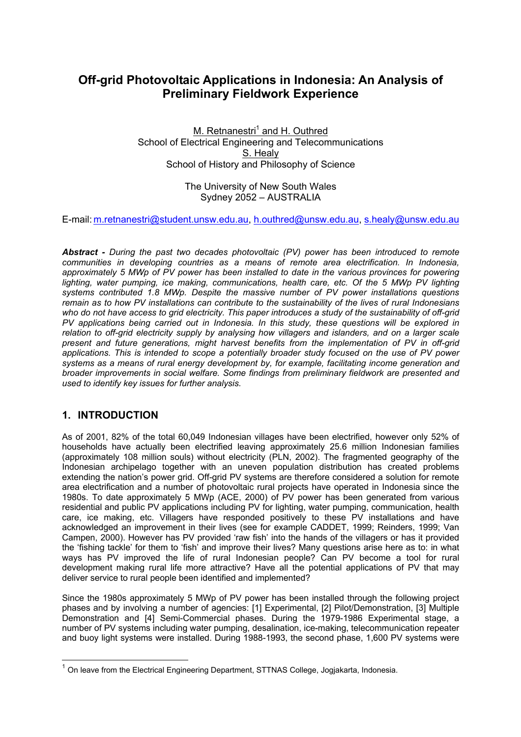# **Off-grid Photovoltaic Applications in Indonesia: An Analysis of Preliminary Fieldwork Experience**

M. Retnanestri<sup>1</sup> and H. Outhred School of Electrical Engineering and Telecommunications S. Healy School of History and Philosophy of Science

> The University of New South Wales Sydney 2052 – AUSTRALIA

E-mail: m.retnanestri@student.unsw.edu.au, h.outhred@unsw.edu.au, s.healy@unsw.edu.au

*Abstract - During the past two decades photovoltaic (PV) power has been introduced to remote communities in developing countries as a means of remote area electrification. In Indonesia, approximately 5 MWp of PV power has been installed to date in the various provinces for powering lighting, water pumping, ice making, communications, health care, etc. Of the 5 MWp PV lighting systems contributed 1.8 MWp. Despite the massive number of PV power installations questions remain as to how PV installations can contribute to the sustainability of the lives of rural Indonesians*  who do not have access to grid electricity. This paper introduces a study of the sustainability of off-grid *PV applications being carried out in Indonesia. In this study, these questions will be explored in relation to off-grid electricity supply by analysing how villagers and islanders, and on a larger scale present and future generations, might harvest benefits from the implementation of PV in off-grid applications. This is intended to scope a potentially broader study focused on the use of PV power systems as a means of rural energy development by, for example, facilitating income generation and broader improvements in social welfare. Some findings from preliminary fieldwork are presented and used to identify key issues for further analysis.* 

### **1. INTRODUCTION**

 $\overline{a}$ 

As of 2001, 82% of the total 60,049 Indonesian villages have been electrified, however only 52% of households have actually been electrified leaving approximately 25.6 million Indonesian families (approximately 108 million souls) without electricity (PLN, 2002). The fragmented geography of the Indonesian archipelago together with an uneven population distribution has created problems extending the nation's power grid. Off-grid PV systems are therefore considered a solution for remote area electrification and a number of photovoltaic rural projects have operated in Indonesia since the 1980s. To date approximately 5 MWp (ACE, 2000) of PV power has been generated from various residential and public PV applications including PV for lighting, water pumping, communication, health care, ice making, etc. Villagers have responded positively to these PV installations and have acknowledged an improvement in their lives (see for example CADDET, 1999; Reinders, 1999; Van Campen, 2000). However has PV provided 'raw fish' into the hands of the villagers or has it provided the 'fishing tackle' for them to 'fish' and improve their lives? Many questions arise here as to: in what ways has PV improved the life of rural Indonesian people? Can PV become a tool for rural development making rural life more attractive? Have all the potential applications of PV that may deliver service to rural people been identified and implemented?

Since the 1980s approximately 5 MWp of PV power has been installed through the following project phases and by involving a number of agencies: [1] Experimental, [2] Pilot/Demonstration, [3] Multiple Demonstration and [4] Semi-Commercial phases. During the 1979-1986 Experimental stage, a number of PV systems including water pumping, desalination, ice-making, telecommunication repeater and buoy light systems were installed. During 1988-1993, the second phase, 1,600 PV systems were

 $<sup>1</sup>$  On leave from the Electrical Engineering Department, STTNAS College, Jogiakarta, Indonesia.</sup>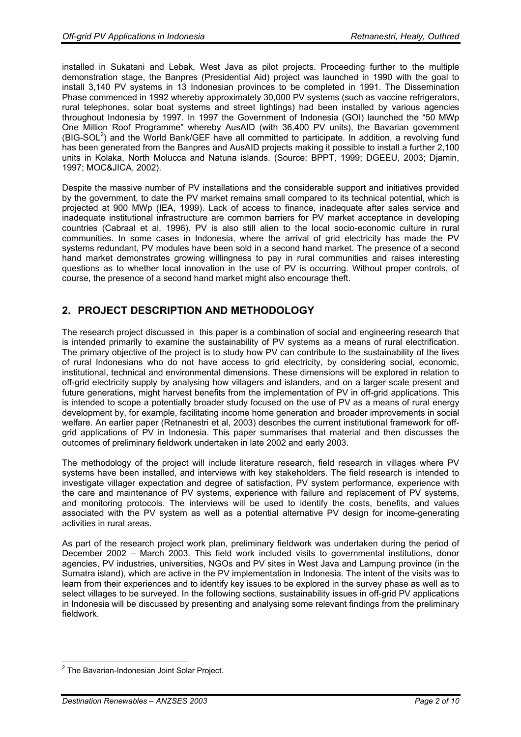installed in Sukatani and Lebak, West Java as pilot projects. Proceeding further to the multiple demonstration stage, the Banpres (Presidential Aid) project was launched in 1990 with the goal to install 3,140 PV systems in 13 Indonesian provinces to be completed in 1991. The Dissemination Phase commenced in 1992 whereby approximately 30,000 PV systems (such as vaccine refrigerators, rural telephones, solar boat systems and street lightings) had been installed by various agencies throughout Indonesia by 1997. In 1997 the Government of Indonesia (GOI) launched the "50 MWp One Million Roof Programme" whereby AusAID (with 36,400 PV units), the Bavarian government (BIG-SOL<sup>2</sup>) and the World Bank/GEF have all committed to participate. In addition, a revolving fund has been generated from the Banpres and AusAID projects making it possible to install a further 2,100 units in Kolaka, North Molucca and Natuna islands. (Source: BPPT, 1999; DGEEU, 2003; Djamin, 1997; MOC&JICA, 2002).

Despite the massive number of PV installations and the considerable support and initiatives provided by the government, to date the PV market remains small compared to its technical potential, which is projected at 900 MWp (IEA, 1999). Lack of access to finance, inadequate after sales service and inadequate institutional infrastructure are common barriers for PV market acceptance in developing countries (Cabraal et al, 1996). PV is also still alien to the local socio-economic culture in rural communities. In some cases in Indonesia, where the arrival of grid electricity has made the PV systems redundant, PV modules have been sold in a second hand market. The presence of a second hand market demonstrates growing willingness to pay in rural communities and raises interesting questions as to whether local innovation in the use of PV is occurring. Without proper controls, of course, the presence of a second hand market might also encourage theft.

# **2. PROJECT DESCRIPTION AND METHODOLOGY**

The research project discussed in this paper is a combination of social and engineering research that is intended primarily to examine the sustainability of PV systems as a means of rural electrification. The primary objective of the project is to study how PV can contribute to the sustainability of the lives of rural Indonesians who do not have access to grid electricity, by considering social, economic, institutional, technical and environmental dimensions. These dimensions will be explored in relation to off-grid electricity supply by analysing how villagers and islanders, and on a larger scale present and future generations, might harvest benefits from the implementation of PV in off-grid applications. This is intended to scope a potentially broader study focused on the use of PV as a means of rural energy development by, for example, facilitating income home generation and broader improvements in social welfare. An earlier paper (Retnanestri et al, 2003) describes the current institutional framework for offgrid applications of PV in Indonesia. This paper summarises that material and then discusses the outcomes of preliminary fieldwork undertaken in late 2002 and early 2003.

The methodology of the project will include literature research, field research in villages where PV systems have been installed, and interviews with key stakeholders. The field research is intended to investigate villager expectation and degree of satisfaction, PV system performance, experience with the care and maintenance of PV systems, experience with failure and replacement of PV systems, and monitoring protocols. The interviews will be used to identify the costs, benefits, and values associated with the PV system as well as a potential alternative PV design for income-generating activities in rural areas.

As part of the research project work plan, preliminary fieldwork was undertaken during the period of December 2002 – March 2003. This field work included visits to governmental institutions, donor agencies, PV industries, universities, NGOs and PV sites in West Java and Lampung province (in the Sumatra island), which are active in the PV implementation in Indonesia. The intent of the visits was to learn from their experiences and to identify key issues to be explored in the survey phase as well as to select villages to be surveyed. In the following sections, sustainability issues in off-grid PV applications in Indonesia will be discussed by presenting and analysing some relevant findings from the preliminary fieldwork.

 2 The Bavarian-Indonesian Joint Solar Project.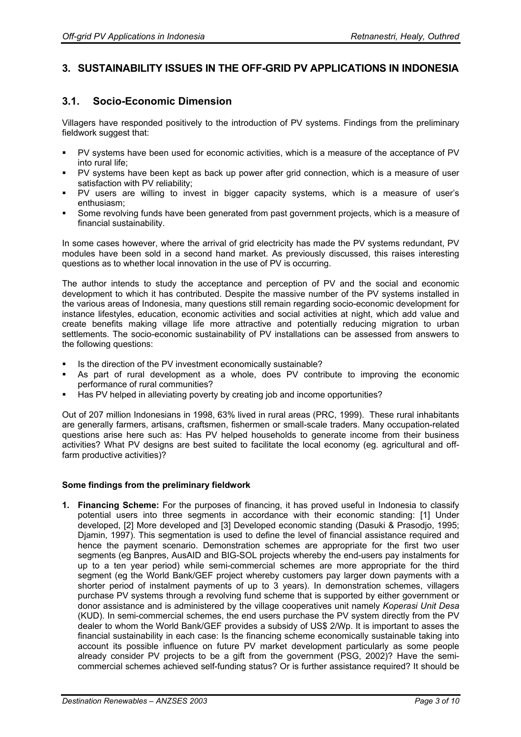# **3. SUSTAINABILITY ISSUES IN THE OFF-GRID PV APPLICATIONS IN INDONESIA**

### **3.1. Socio-Economic Dimension**

Villagers have responded positively to the introduction of PV systems. Findings from the preliminary fieldwork suggest that:

- PV systems have been used for economic activities, which is a measure of the acceptance of PV into rural life;
- PV systems have been kept as back up power after grid connection, which is a measure of user satisfaction with PV reliability;
- PV users are willing to invest in bigger capacity systems, which is a measure of user's enthusiasm;
- Some revolving funds have been generated from past government projects, which is a measure of financial sustainability.

In some cases however, where the arrival of grid electricity has made the PV systems redundant, PV modules have been sold in a second hand market. As previously discussed, this raises interesting questions as to whether local innovation in the use of PV is occurring.

The author intends to study the acceptance and perception of PV and the social and economic development to which it has contributed. Despite the massive number of the PV systems installed in the various areas of Indonesia, many questions still remain regarding socio-economic development for instance lifestyles, education, economic activities and social activities at night, which add value and create benefits making village life more attractive and potentially reducing migration to urban settlements. The socio-economic sustainability of PV installations can be assessed from answers to the following questions:

- Is the direction of the PV investment economically sustainable?
- As part of rural development as a whole, does PV contribute to improving the economic performance of rural communities?
- Has PV helped in alleviating poverty by creating job and income opportunities?

Out of 207 million Indonesians in 1998, 63% lived in rural areas (PRC, 1999). These rural inhabitants are generally farmers, artisans, craftsmen, fishermen or small-scale traders. Many occupation-related questions arise here such as: Has PV helped households to generate income from their business activities? What PV designs are best suited to facilitate the local economy (eg. agricultural and offfarm productive activities)?

#### **Some findings from the preliminary fieldwork**

**1. Financing Scheme:** For the purposes of financing, it has proved useful in Indonesia to classify potential users into three segments in accordance with their economic standing: [1] Under developed, [2] More developed and [3] Developed economic standing (Dasuki & Prasodjo, 1995; Djamin, 1997). This segmentation is used to define the level of financial assistance required and hence the payment scenario. Demonstration schemes are appropriate for the first two user segments (eg Banpres, AusAID and BIG-SOL projects whereby the end-users pay instalments for up to a ten year period) while semi-commercial schemes are more appropriate for the third segment (eg the World Bank/GEF project whereby customers pay larger down payments with a shorter period of instalment payments of up to 3 years). In demonstration schemes, villagers purchase PV systems through a revolving fund scheme that is supported by either government or donor assistance and is administered by the village cooperatives unit namely *Koperasi Unit Desa* (KUD). In semi-commercial schemes, the end users purchase the PV system directly from the PV dealer to whom the World Bank/GEF provides a subsidy of US\$ 2/Wp. It is important to asses the financial sustainability in each case: Is the financing scheme economically sustainable taking into account its possible influence on future PV market development particularly as some people already consider PV projects to be a gift from the government (PSG, 2002)? Have the semicommercial schemes achieved self-funding status? Or is further assistance required? It should be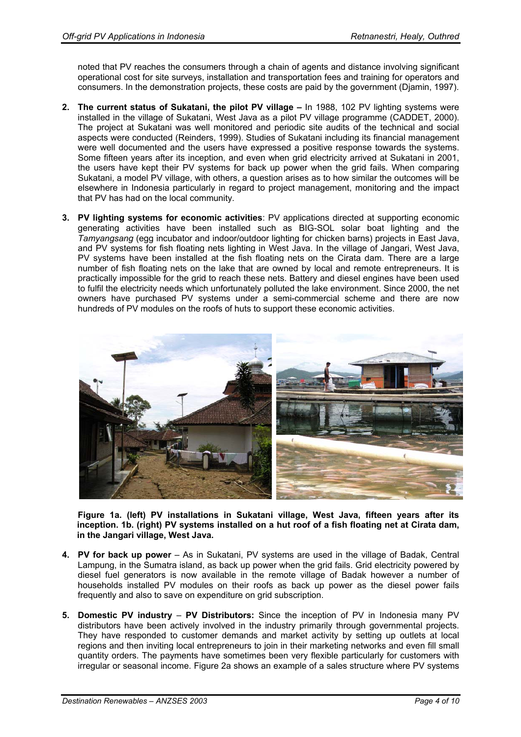noted that PV reaches the consumers through a chain of agents and distance involving significant operational cost for site surveys, installation and transportation fees and training for operators and consumers. In the demonstration projects, these costs are paid by the government (Djamin, 1997).

- **2. The current status of Sukatani, the pilot PV village** In 1988, 102 PV lighting systems were installed in the village of Sukatani, West Java as a pilot PV village programme (CADDET, 2000). The project at Sukatani was well monitored and periodic site audits of the technical and social aspects were conducted (Reinders, 1999). Studies of Sukatani including its financial management were well documented and the users have expressed a positive response towards the systems. Some fifteen years after its inception, and even when grid electricity arrived at Sukatani in 2001, the users have kept their PV systems for back up power when the grid fails. When comparing Sukatani, a model PV village, with others, a question arises as to how similar the outcomes will be elsewhere in Indonesia particularly in regard to project management, monitoring and the impact that PV has had on the local community.
- **3. PV lighting systems for economic activities**: PV applications directed at supporting economic generating activities have been installed such as BIG-SOL solar boat lighting and the *Tamyangsang* (egg incubator and indoor/outdoor lighting for chicken barns) projects in East Java, and PV systems for fish floating nets lighting in West Java. In the village of Jangari, West Java, PV systems have been installed at the fish floating nets on the Cirata dam. There are a large number of fish floating nets on the lake that are owned by local and remote entrepreneurs. It is practically impossible for the grid to reach these nets. Battery and diesel engines have been used to fulfil the electricity needs which unfortunately polluted the lake environment. Since 2000, the net owners have purchased PV systems under a semi-commercial scheme and there are now hundreds of PV modules on the roofs of huts to support these economic activities.



**Figure 1a. (left) PV installations in Sukatani village, West Java, fifteen years after its inception. 1b. (right) PV systems installed on a hut roof of a fish floating net at Cirata dam, in the Jangari village, West Java.** 

- **4. PV for back up power** As in Sukatani, PV systems are used in the village of Badak, Central Lampung, in the Sumatra island, as back up power when the grid fails. Grid electricity powered by diesel fuel generators is now available in the remote village of Badak however a number of households installed PV modules on their roofs as back up power as the diesel power fails frequently and also to save on expenditure on grid subscription.
- **5. Domestic PV industry PV Distributors:** Since the inception of PV in Indonesia many PV distributors have been actively involved in the industry primarily through governmental projects. They have responded to customer demands and market activity by setting up outlets at local regions and then inviting local entrepreneurs to join in their marketing networks and even fill small quantity orders. The payments have sometimes been very flexible particularly for customers with irregular or seasonal income. Figure 2a shows an example of a sales structure where PV systems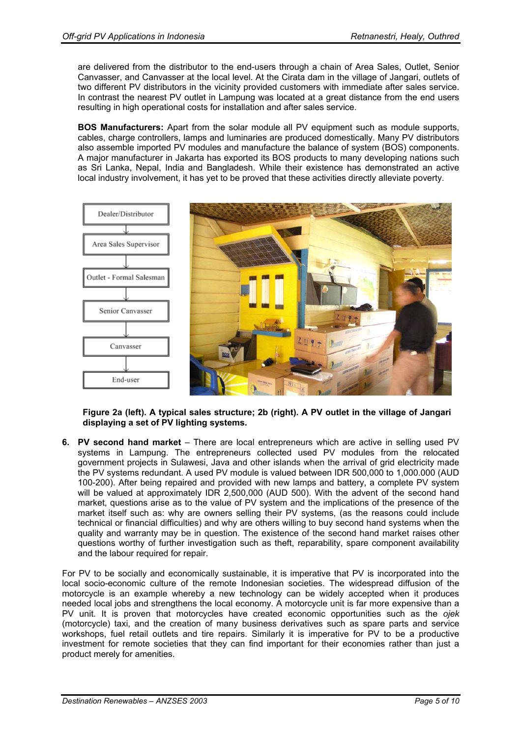are delivered from the distributor to the end-users through a chain of Area Sales, Outlet, Senior Canvasser, and Canvasser at the local level. At the Cirata dam in the village of Jangari, outlets of two different PV distributors in the vicinity provided customers with immediate after sales service. In contrast the nearest PV outlet in Lampung was located at a great distance from the end users resulting in high operational costs for installation and after sales service.

**BOS Manufacturers:** Apart from the solar module all PV equipment such as module supports, cables, charge controllers, lamps and luminaries are produced domestically. Many PV distributors also assemble imported PV modules and manufacture the balance of system (BOS) components. A major manufacturer in Jakarta has exported its BOS products to many developing nations such as Sri Lanka, Nepal, India and Bangladesh. While their existence has demonstrated an active local industry involvement, it has yet to be proved that these activities directly alleviate poverty.



**Figure 2a (left). A typical sales structure; 2b (right). A PV outlet in the village of Jangari displaying a set of PV lighting systems.** 

**6. PV second hand market** – There are local entrepreneurs which are active in selling used PV systems in Lampung. The entrepreneurs collected used PV modules from the relocated government projects in Sulawesi, Java and other islands when the arrival of grid electricity made the PV systems redundant. A used PV module is valued between IDR 500,000 to 1,000.000 (AUD 100-200). After being repaired and provided with new lamps and battery, a complete PV system will be valued at approximately IDR 2,500,000 (AUD 500). With the advent of the second hand market, questions arise as to the value of PV system and the implications of the presence of the market itself such as: why are owners selling their PV systems, (as the reasons could include technical or financial difficulties) and why are others willing to buy second hand systems when the quality and warranty may be in question. The existence of the second hand market raises other questions worthy of further investigation such as theft, reparability, spare component availability and the labour required for repair.

For PV to be socially and economically sustainable, it is imperative that PV is incorporated into the local socio-economic culture of the remote Indonesian societies. The widespread diffusion of the motorcycle is an example whereby a new technology can be widely accepted when it produces needed local jobs and strengthens the local economy. A motorcycle unit is far more expensive than a PV unit. It is proven that motorcycles have created economic opportunities such as the *ojek* (motorcycle) taxi, and the creation of many business derivatives such as spare parts and service workshops, fuel retail outlets and tire repairs. Similarly it is imperative for PV to be a productive investment for remote societies that they can find important for their economies rather than just a product merely for amenities.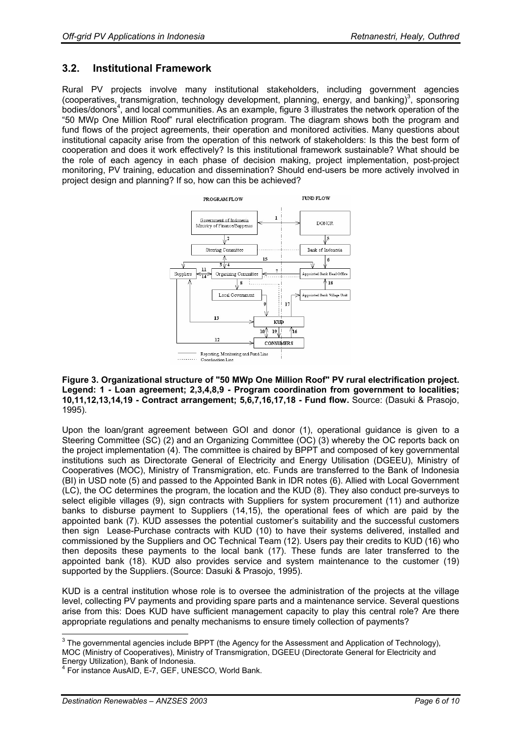### **3.2. Institutional Framework**

Rural PV projects involve many institutional stakeholders, including government agencies (cooperatives, transmigration, technology development, planning, energy, and banking)<sup>3</sup>, sponsoring bodies/donors<sup>4</sup>, and local communities. As an example, figure 3 illustrates the network operation of the "50 MWp One Million Roof" rural electrification program. The diagram shows both the program and fund flows of the project agreements, their operation and monitored activities. Many questions about institutional capacity arise from the operation of this network of stakeholders: Is this the best form of cooperation and does it work effectively? Is this institutional framework sustainable? What should be the role of each agency in each phase of decision making, project implementation, post-project monitoring, PV training, education and dissemination? Should end-users be more actively involved in project design and planning? If so, how can this be achieved?



#### **Figure 3. Organizational structure of "50 MWp One Million Roof" PV rural electrification project. Legend: 1 - Loan agreement; 2,3,4,8,9 - Program coordination from government to localities; 10,11,12,13,14,19 - Contract arrangement; 5,6,7,16,17,18 - Fund flow.** Source: (Dasuki & Prasojo, 1995).

Upon the loan/grant agreement between GOI and donor (1), operational guidance is given to a Steering Committee (SC) (2) and an Organizing Committee (OC) (3) whereby the OC reports back on the project implementation (4). The committee is chaired by BPPT and composed of key governmental institutions such as Directorate General of Electricity and Energy Utilisation (DGEEU), Ministry of Cooperatives (MOC), Ministry of Transmigration, etc. Funds are transferred to the Bank of Indonesia (BI) in USD note (5) and passed to the Appointed Bank in IDR notes (6). Allied with Local Government (LC), the OC determines the program, the location and the KUD (8). They also conduct pre-surveys to select eligible villages (9), sign contracts with Suppliers for system procurement (11) and authorize banks to disburse payment to Suppliers (14,15), the operational fees of which are paid by the appointed bank (7). KUD assesses the potential customer's suitability and the successful customers then sign Lease-Purchase contracts with KUD (10) to have their systems delivered, installed and commissioned by the Suppliers and OC Technical Team (12). Users pay their credits to KUD (16) who then deposits these payments to the local bank (17). These funds are later transferred to the appointed bank (18). KUD also provides service and system maintenance to the customer (19) supported by the Suppliers. (Source: Dasuki & Prasojo, 1995).

KUD is a central institution whose role is to oversee the administration of the projects at the village level, collecting PV payments and providing spare parts and a maintenance service. Several questions arise from this: Does KUD have sufficient management capacity to play this central role? Are there appropriate regulations and penalty mechanisms to ensure timely collection of payments?

The governmental agencies include BPPT (the Agency for the Assessment and Application of Technology),<br>The governmental agencies include BPPT (the Agency for the Assessment and Application of Technology), MOC (Ministry of Cooperatives), Ministry of Transmigration, DGEEU (Directorate General for Electricity and Energy Utilization), Bank of Indonesia.

<sup>4</sup> For instance AusAID, E-7, GEF, UNESCO, World Bank.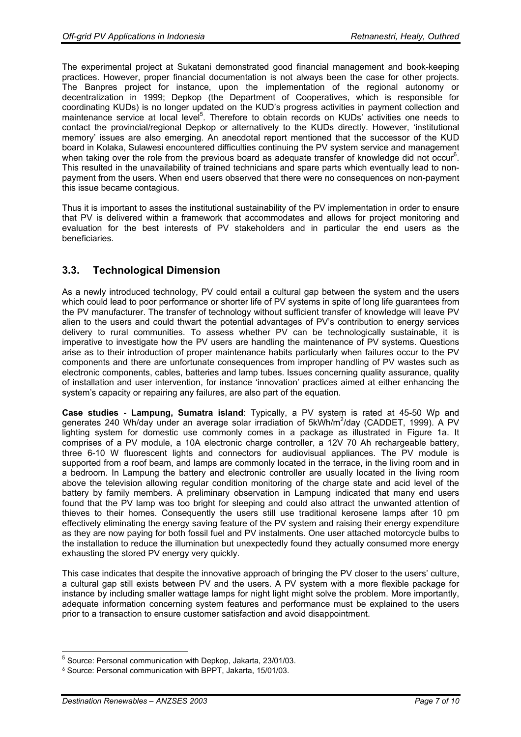The experimental project at Sukatani demonstrated good financial management and book-keeping practices. However, proper financial documentation is not always been the case for other projects. The Banpres project for instance, upon the implementation of the regional autonomy or decentralization in 1999; Depkop (the Department of Cooperatives, which is responsible for coordinating KUDs) is no longer updated on the KUD's progress activities in payment collection and maintenance service at local level<sup>5</sup>. Therefore to obtain records on KUDs' activities one needs to contact the provincial/regional Depkop or alternatively to the KUDs directly. However, 'institutional memory' issues are also emerging. An anecdotal report mentioned that the successor of the KUD board in Kolaka, Sulawesi encountered difficulties continuing the PV system service and management when taking over the role from the previous board as adequate transfer of knowledge did not occur $6$ . This resulted in the unavailability of trained technicians and spare parts which eventually lead to nonpayment from the users. When end users observed that there were no consequences on non-payment this issue became contagious.

Thus it is important to asses the institutional sustainability of the PV implementation in order to ensure that PV is delivered within a framework that accommodates and allows for project monitoring and evaluation for the best interests of PV stakeholders and in particular the end users as the beneficiaries.

### **3.3. Technological Dimension**

As a newly introduced technology, PV could entail a cultural gap between the system and the users which could lead to poor performance or shorter life of PV systems in spite of long life guarantees from the PV manufacturer. The transfer of technology without sufficient transfer of knowledge will leave PV alien to the users and could thwart the potential advantages of PV's contribution to energy services delivery to rural communities. To assess whether PV can be technologically sustainable, it is imperative to investigate how the PV users are handling the maintenance of PV systems. Questions arise as to their introduction of proper maintenance habits particularly when failures occur to the PV components and there are unfortunate consequences from improper handling of PV wastes such as electronic components, cables, batteries and lamp tubes. Issues concerning quality assurance, quality of installation and user intervention, for instance 'innovation' practices aimed at either enhancing the system's capacity or repairing any failures, are also part of the equation.

**Case studies - Lampung, Sumatra island**: Typically, a PV system is rated at 45-50 Wp and generates 240 Wh/day under an average solar irradiation of 5kWh/m<sup>2</sup>/day (CADDET, 1999). A PV lighting system for domestic use commonly comes in a package as illustrated in Figure 1a. It comprises of a PV module, a 10A electronic charge controller, a 12V 70 Ah rechargeable battery, three 6-10 W fluorescent lights and connectors for audiovisual appliances. The PV module is supported from a roof beam, and lamps are commonly located in the terrace, in the living room and in a bedroom. In Lampung the battery and electronic controller are usually located in the living room above the television allowing regular condition monitoring of the charge state and acid level of the battery by family members. A preliminary observation in Lampung indicated that many end users found that the PV lamp was too bright for sleeping and could also attract the unwanted attention of thieves to their homes. Consequently the users still use traditional kerosene lamps after 10 pm effectively eliminating the energy saving feature of the PV system and raising their energy expenditure as they are now paying for both fossil fuel and PV instalments. One user attached motorcycle bulbs to the installation to reduce the illumination but unexpectedly found they actually consumed more energy exhausting the stored PV energy very quickly.

This case indicates that despite the innovative approach of bringing the PV closer to the users' culture, a cultural gap still exists between PV and the users. A PV system with a more flexible package for instance by including smaller wattage lamps for night light might solve the problem. More importantly, adequate information concerning system features and performance must be explained to the users prior to a transaction to ensure customer satisfaction and avoid disappointment.

 $\overline{a}$ 5 Source: Personal communication with Depkop, Jakarta, 23/01/03.

<sup>6</sup> Source: Personal communication with BPPT, Jakarta, 15/01/03.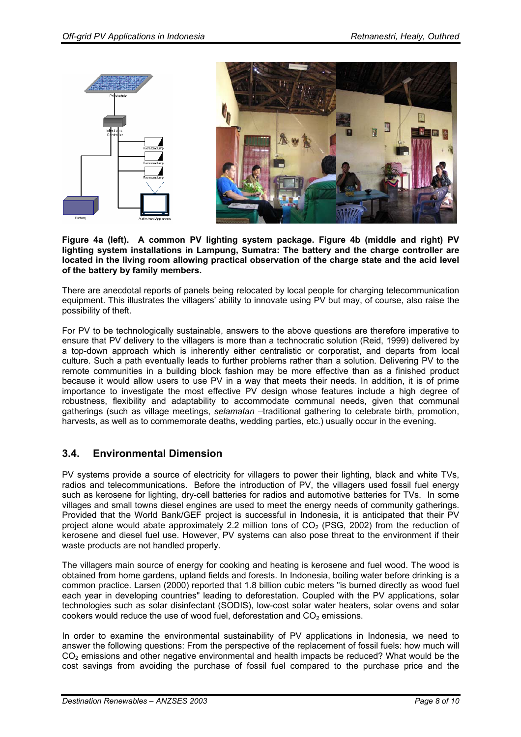

**Figure 4a (left). A common PV lighting system package. Figure 4b (middle and right) PV lighting system installations in Lampung, Sumatra: The battery and the charge controller are located in the living room allowing practical observation of the charge state and the acid level of the battery by family members.**

There are anecdotal reports of panels being relocated by local people for charging telecommunication equipment. This illustrates the villagers' ability to innovate using PV but may, of course, also raise the possibility of theft.

For PV to be technologically sustainable, answers to the above questions are therefore imperative to ensure that PV delivery to the villagers is more than a technocratic solution (Reid, 1999) delivered by a top-down approach which is inherently either centralistic or corporatist, and departs from local culture. Such a path eventually leads to further problems rather than a solution. Delivering PV to the remote communities in a building block fashion may be more effective than as a finished product because it would allow users to use PV in a way that meets their needs. In addition, it is of prime importance to investigate the most effective PV design whose features include a high degree of robustness, flexibility and adaptability to accommodate communal needs, given that communal gatherings (such as village meetings, *selamatan* –traditional gathering to celebrate birth, promotion, harvests, as well as to commemorate deaths, wedding parties, etc.) usually occur in the evening.

### **3.4. Environmental Dimension**

PV systems provide a source of electricity for villagers to power their lighting, black and white TVs, radios and telecommunications. Before the introduction of PV, the villagers used fossil fuel energy such as kerosene for lighting, dry-cell batteries for radios and automotive batteries for TVs. In some villages and small towns diesel engines are used to meet the energy needs of community gatherings. Provided that the World Bank/GEF project is successful in Indonesia, it is anticipated that their PV project alone would abate approximately 2.2 million tons of  $CO<sub>2</sub>$  (PSG, 2002) from the reduction of kerosene and diesel fuel use. However, PV systems can also pose threat to the environment if their waste products are not handled properly.

The villagers main source of energy for cooking and heating is kerosene and fuel wood. The wood is obtained from home gardens, upland fields and forests. In Indonesia, boiling water before drinking is a common practice. Larsen (2000) reported that 1.8 billion cubic meters "is burned directly as wood fuel each year in developing countries" leading to deforestation. Coupled with the PV applications, solar technologies such as solar disinfectant (SODIS), low-cost solar water heaters, solar ovens and solar cookers would reduce the use of wood fuel, deforestation and  $CO<sub>2</sub>$  emissions.

In order to examine the environmental sustainability of PV applications in Indonesia, we need to answer the following questions: From the perspective of the replacement of fossil fuels: how much will CO<sub>2</sub> emissions and other negative environmental and health impacts be reduced? What would be the cost savings from avoiding the purchase of fossil fuel compared to the purchase price and the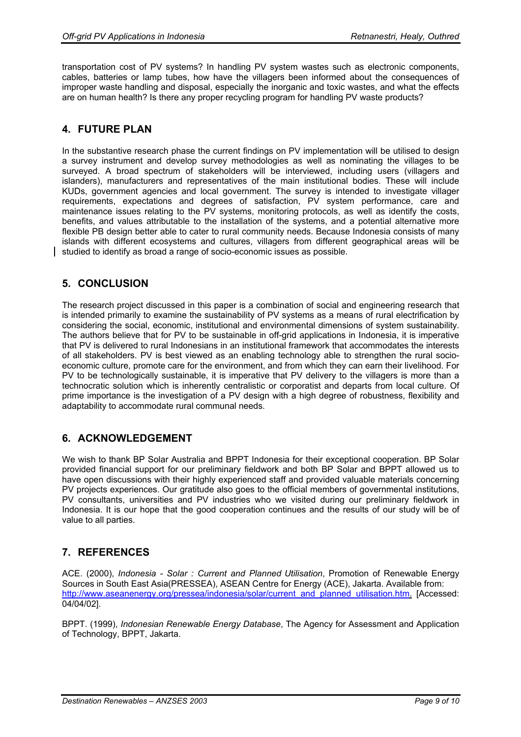transportation cost of PV systems? In handling PV system wastes such as electronic components, cables, batteries or lamp tubes, how have the villagers been informed about the consequences of improper waste handling and disposal, especially the inorganic and toxic wastes, and what the effects are on human health? Is there any proper recycling program for handling PV waste products?

## **4. FUTURE PLAN**

In the substantive research phase the current findings on PV implementation will be utilised to design a survey instrument and develop survey methodologies as well as nominating the villages to be surveyed. A broad spectrum of stakeholders will be interviewed, including users (villagers and islanders), manufacturers and representatives of the main institutional bodies. These will include KUDs, government agencies and local government. The survey is intended to investigate villager requirements, expectations and degrees of satisfaction, PV system performance, care and maintenance issues relating to the PV systems, monitoring protocols, as well as identify the costs, benefits, and values attributable to the installation of the systems, and a potential alternative more flexible PB design better able to cater to rural community needs. Because Indonesia consists of many islands with different ecosystems and cultures, villagers from different geographical areas will be studied to identify as broad a range of socio-economic issues as possible.

### **5. CONCLUSION**

The research project discussed in this paper is a combination of social and engineering research that is intended primarily to examine the sustainability of PV systems as a means of rural electrification by considering the social, economic, institutional and environmental dimensions of system sustainability. The authors believe that for PV to be sustainable in off-grid applications in Indonesia, it is imperative that PV is delivered to rural Indonesians in an institutional framework that accommodates the interests of all stakeholders. PV is best viewed as an enabling technology able to strengthen the rural socioeconomic culture, promote care for the environment, and from which they can earn their livelihood. For PV to be technologically sustainable, it is imperative that PV delivery to the villagers is more than a technocratic solution which is inherently centralistic or corporatist and departs from local culture. Of prime importance is the investigation of a PV design with a high degree of robustness, flexibility and adaptability to accommodate rural communal needs.

### **6. ACKNOWLEDGEMENT**

We wish to thank BP Solar Australia and BPPT Indonesia for their exceptional cooperation. BP Solar provided financial support for our preliminary fieldwork and both BP Solar and BPPT allowed us to have open discussions with their highly experienced staff and provided valuable materials concerning PV projects experiences. Our gratitude also goes to the official members of governmental institutions, PV consultants, universities and PV industries who we visited during our preliminary fieldwork in Indonesia. It is our hope that the good cooperation continues and the results of our study will be of value to all parties.

### **7. REFERENCES**

ACE. (2000), *Indonesia - Solar : Current and Planned Utilisation*, Promotion of Renewable Energy Sources in South East Asia(PRESSEA), ASEAN Centre for Energy (ACE), Jakarta. Available from: http://www.aseanenergy.org/pressea/indonesia/solar/current\_and\_planned\_utilisation.htm. [Accessed: 04/04/02].

BPPT. (1999), *Indonesian Renewable Energy Database*, The Agency for Assessment and Application of Technology, BPPT, Jakarta.